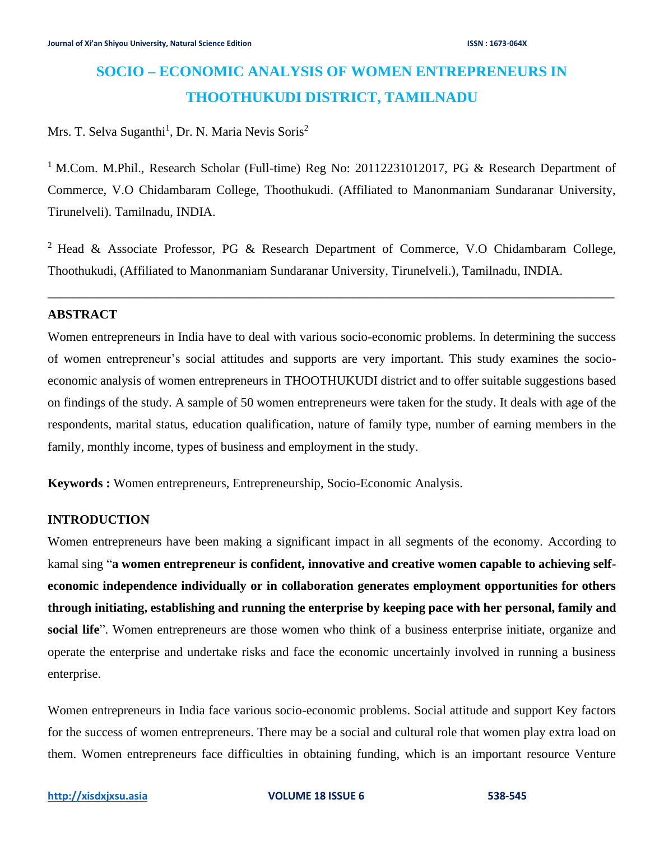# **SOCIO – ECONOMIC ANALYSIS OF WOMEN ENTREPRENEURS IN THOOTHUKUDI DISTRICT, TAMILNADU**

## Mrs. T. Selva Suganthi<sup>1</sup>, Dr. N. Maria Nevis Soris<sup>2</sup>

<sup>1</sup> M.Com. M.Phil., Research Scholar (Full-time) Reg No: 20112231012017, PG & Research Department of Commerce, V.O Chidambaram College, Thoothukudi. (Affiliated to Manonmaniam Sundaranar University, Tirunelveli). Tamilnadu, INDIA.

<sup>2</sup> Head & Associate Professor, PG & Research Department of Commerce, V.O Chidambaram College, Thoothukudi, (Affiliated to Manonmaniam Sundaranar University, Tirunelveli.), Tamilnadu, INDIA.

**\_\_\_\_\_\_\_\_\_\_\_\_\_\_\_\_\_\_\_\_\_\_\_\_\_\_\_\_\_\_\_\_\_\_\_\_\_\_\_\_\_\_\_\_\_\_\_\_\_\_\_\_\_\_\_\_\_\_\_\_\_\_\_\_\_\_\_\_\_\_\_\_\_\_\_\_\_\_\_\_\_\_\_\_\_\_\_\_\_**

## **ABSTRACT**

Women entrepreneurs in India have to deal with various socio-economic problems. In determining the success of women entrepreneur's social attitudes and supports are very important. This study examines the socioeconomic analysis of women entrepreneurs in THOOTHUKUDI district and to offer suitable suggestions based on findings of the study. A sample of 50 women entrepreneurs were taken for the study. It deals with age of the respondents, marital status, education qualification, nature of family type, number of earning members in the family, monthly income, types of business and employment in the study.

**Keywords :** Women entrepreneurs, Entrepreneurship, Socio-Economic Analysis.

## **INTRODUCTION**

Women entrepreneurs have been making a significant impact in all segments of the economy. According to kamal sing "**a women entrepreneur is confident, innovative and creative women capable to achieving selfeconomic independence individually or in collaboration generates employment opportunities for others through initiating, establishing and running the enterprise by keeping pace with her personal, family and social life**". Women entrepreneurs are those women who think of a business enterprise initiate, organize and operate the enterprise and undertake risks and face the economic uncertainly involved in running a business enterprise.

Women entrepreneurs in India face various socio-economic problems. Social attitude and support Key factors for the success of women entrepreneurs. There may be a social and cultural role that women play extra load on them. Women entrepreneurs face difficulties in obtaining funding, which is an important resource Venture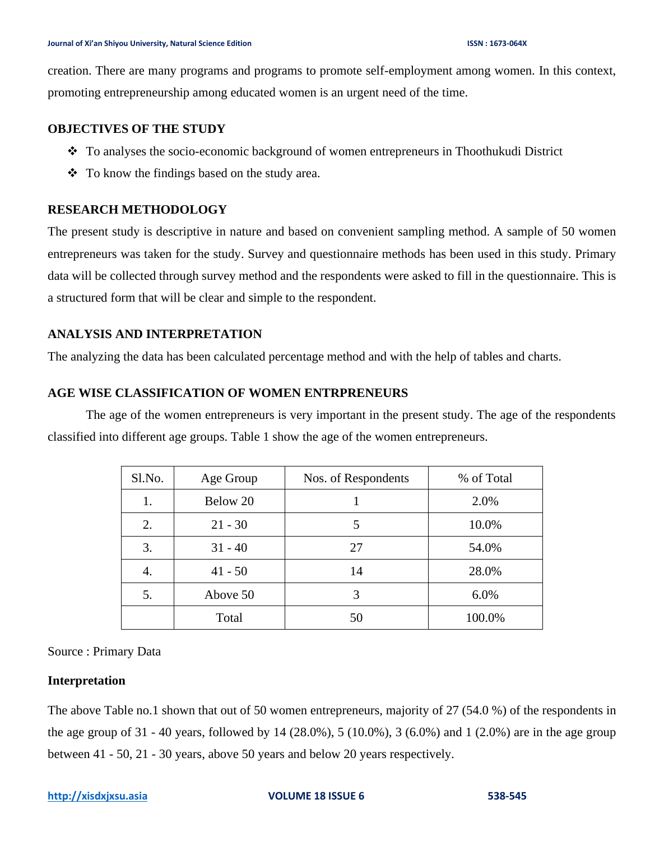creation. There are many programs and programs to promote self-employment among women. In this context, promoting entrepreneurship among educated women is an urgent need of the time.

#### **OBJECTIVES OF THE STUDY**

- ❖ To analyses the socio-economic background of women entrepreneurs in Thoothukudi District
- ❖ To know the findings based on the study area.

## **RESEARCH METHODOLOGY**

The present study is descriptive in nature and based on convenient sampling method. A sample of 50 women entrepreneurs was taken for the study. Survey and questionnaire methods has been used in this study. Primary data will be collected through survey method and the respondents were asked to fill in the questionnaire. This is a structured form that will be clear and simple to the respondent.

## **ANALYSIS AND INTERPRETATION**

The analyzing the data has been calculated percentage method and with the help of tables and charts.

#### **AGE WISE CLASSIFICATION OF WOMEN ENTRPRENEURS**

The age of the women entrepreneurs is very important in the present study. The age of the respondents classified into different age groups. Table 1 show the age of the women entrepreneurs.

| Sl.No. | Age Group | Nos. of Respondents | % of Total |
|--------|-----------|---------------------|------------|
| 1.     | Below 20  |                     | 2.0%       |
| 2.     | $21 - 30$ | 5                   | 10.0%      |
| 3.     | $31 - 40$ | 27                  | 54.0%      |
| 4.     | $41 - 50$ | 14                  | 28.0%      |
| 5.     | Above 50  | 3                   | 6.0%       |
|        | Total     | 50                  | 100.0%     |

Source : Primary Data

## **Interpretation**

The above Table no.1 shown that out of 50 women entrepreneurs, majority of 27 (54.0 %) of the respondents in the age group of 31 - 40 years, followed by 14 (28.0%), 5 (10.0%), 3 (6.0%) and 1 (2.0%) are in the age group between 41 - 50, 21 - 30 years, above 50 years and below 20 years respectively.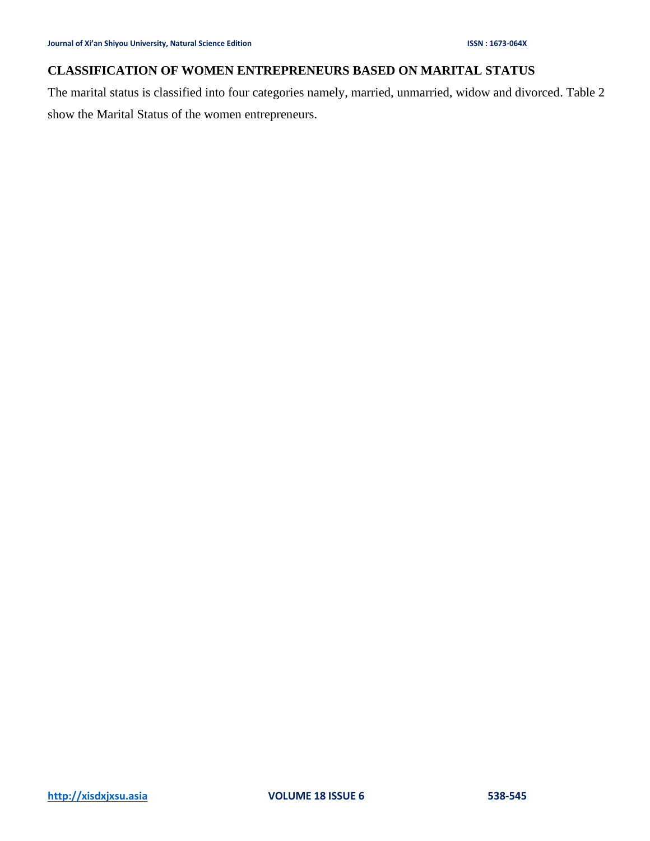## **CLASSIFICATION OF WOMEN ENTREPRENEURS BASED ON MARITAL STATUS**

The marital status is classified into four categories namely, married, unmarried, widow and divorced. Table 2 show the Marital Status of the women entrepreneurs.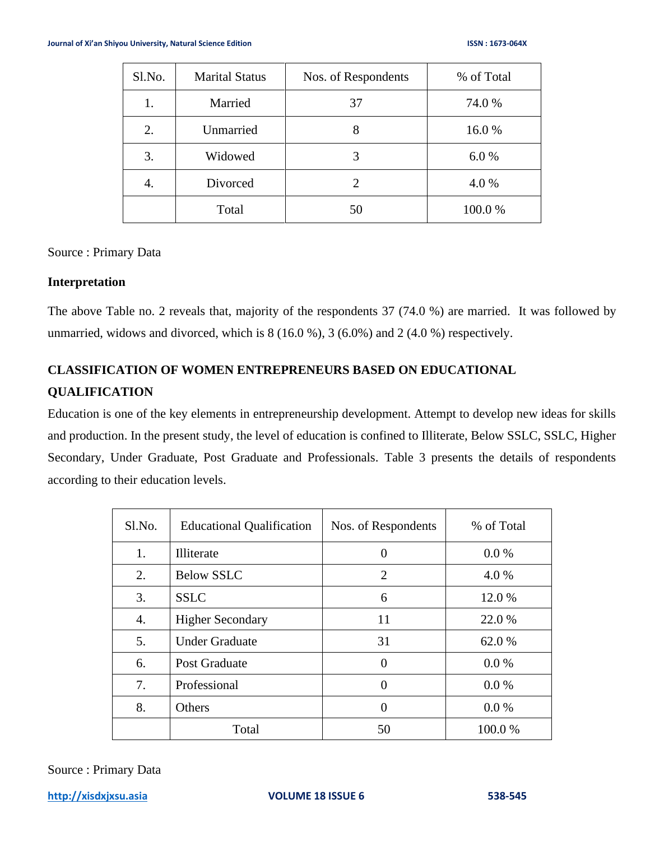| Sl.No. | <b>Marital Status</b> | Nos. of Respondents | % of Total |
|--------|-----------------------|---------------------|------------|
| 1.     | Married               | 37                  | 74.0 %     |
| 2.     | Unmarried             | 8                   | 16.0%      |
| 3.     | Widowed               |                     | 6.0%       |
| 4.     | Divorced              |                     | 4.0%       |
|        | Total                 | 50                  | 100.0%     |

Source : Primary Data

#### **Interpretation**

The above Table no. 2 reveals that, majority of the respondents 37 (74.0 %) are married. It was followed by unmarried, widows and divorced, which is  $8(16.0\%)$ ,  $3(6.0\%)$  and  $2(4.0\%)$  respectively.

## **CLASSIFICATION OF WOMEN ENTREPRENEURS BASED ON EDUCATIONAL QUALIFICATION**

Education is one of the key elements in entrepreneurship development. Attempt to develop new ideas for skills and production. In the present study, the level of education is confined to Illiterate, Below SSLC, SSLC, Higher Secondary, Under Graduate, Post Graduate and Professionals. Table 3 presents the details of respondents according to their education levels.

| Sl.No. | <b>Educational Qualification</b> | Nos. of Respondents | % of Total |
|--------|----------------------------------|---------------------|------------|
| 1.     | <b>Illiterate</b>                | 0                   | $0.0\%$    |
| 2.     | <b>Below SSLC</b>                | $\overline{2}$      | 4.0 %      |
| 3.     | <b>SSLC</b>                      | 6                   | 12.0 %     |
| 4.     | <b>Higher Secondary</b>          | 11                  | 22.0 %     |
| 5.     | <b>Under Graduate</b>            | 31                  | 62.0 %     |
| 6.     | <b>Post Graduate</b>             | 0                   | $0.0\%$    |
| 7.     | Professional                     | $\theta$            | 0.0 %      |
| 8.     | Others                           | 0                   | 0.0 %      |
|        | Total                            | 50                  | 100.0 %    |

Source : Primary Data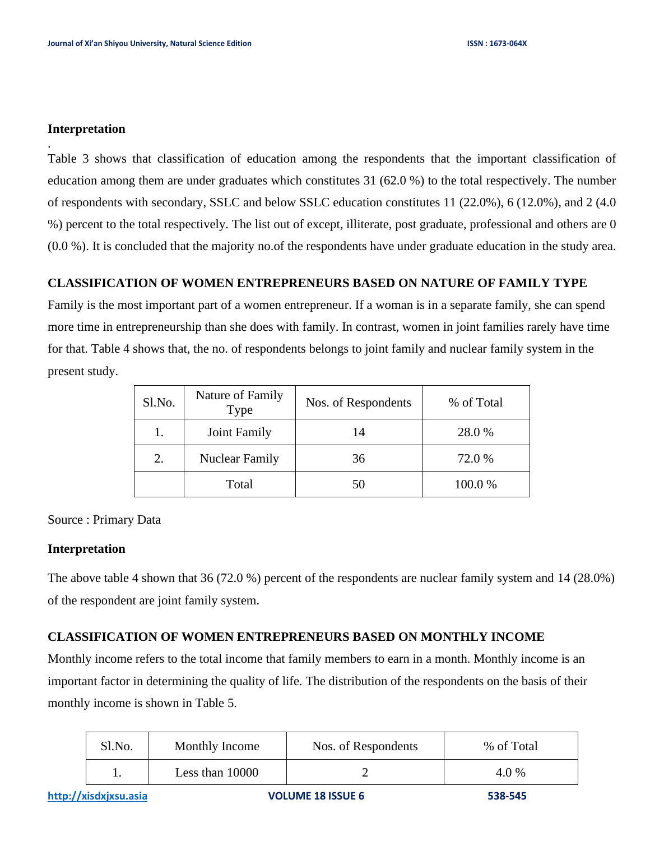#### **Interpretation**

.

Table 3 shows that classification of education among the respondents that the important classification of education among them are under graduates which constitutes 31 (62.0 %) to the total respectively. The number of respondents with secondary, SSLC and below SSLC education constitutes 11 (22.0%), 6 (12.0%), and 2 (4.0 %) percent to the total respectively. The list out of except, illiterate, post graduate, professional and others are 0 (0.0 %). It is concluded that the majority no.of the respondents have under graduate education in the study area.

#### **CLASSIFICATION OF WOMEN ENTREPRENEURS BASED ON NATURE OF FAMILY TYPE**

Family is the most important part of a women entrepreneur. If a woman is in a separate family, she can spend more time in entrepreneurship than she does with family. In contrast, women in joint families rarely have time for that. Table 4 shows that, the no. of respondents belongs to joint family and nuclear family system in the present study.

| Sl.No. | Nature of Family<br>Type | Nos. of Respondents | % of Total |
|--------|--------------------------|---------------------|------------|
|        | Joint Family             | 14                  | 28.0 %     |
| 2.     | <b>Nuclear Family</b>    | 36                  | 72.0 %     |
|        | Total                    | 50                  | 100.0%     |

Source : Primary Data

#### **Interpretation**

The above table 4 shown that 36 (72.0 %) percent of the respondents are nuclear family system and 14 (28.0%) of the respondent are joint family system.

#### **CLASSIFICATION OF WOMEN ENTREPRENEURS BASED ON MONTHLY INCOME**

Monthly income refers to the total income that family members to earn in a month. Monthly income is an important factor in determining the quality of life. The distribution of the respondents on the basis of their monthly income is shown in Table 5.

| Sl.No. | Monthly Income    | Nos. of Respondents | % of Total |
|--------|-------------------|---------------------|------------|
|        | Less than $10000$ |                     | 4.0 %      |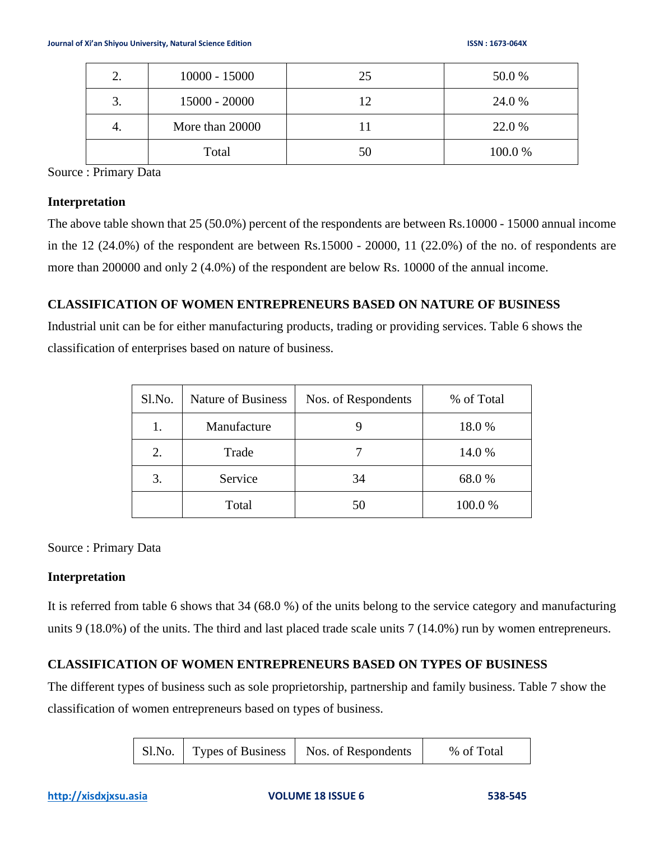| 2. | $10000 - 15000$ | 25 | 50.0 %  |
|----|-----------------|----|---------|
| 3. | 15000 - 20000   | 12 | 24.0 %  |
| 4. | More than 20000 |    | 22.0 %  |
|    | Total           | 50 | 100.0 % |

Source : Primary Data

#### **Interpretation**

The above table shown that 25 (50.0%) percent of the respondents are between Rs.10000 - 15000 annual income in the 12 (24.0%) of the respondent are between Rs.15000 - 20000, 11 (22.0%) of the no. of respondents are more than 200000 and only 2 (4.0%) of the respondent are below Rs. 10000 of the annual income.

## **CLASSIFICATION OF WOMEN ENTREPRENEURS BASED ON NATURE OF BUSINESS**

Industrial unit can be for either manufacturing products, trading or providing services. Table 6 shows the classification of enterprises based on nature of business.

| Sl.No. | Nature of Business | Nos. of Respondents | % of Total |
|--------|--------------------|---------------------|------------|
| 1.     | Manufacture        |                     | 18.0%      |
| 2.     | Trade              |                     | 14.0 %     |
| 3.     | Service            | 34                  | 68.0 %     |
|        | Total              | 50                  | 100.0%     |

Source : Primary Data

## **Interpretation**

It is referred from table 6 shows that 34 (68.0 %) of the units belong to the service category and manufacturing units 9 (18.0%) of the units. The third and last placed trade scale units 7 (14.0%) run by women entrepreneurs.

## **CLASSIFICATION OF WOMEN ENTREPRENEURS BASED ON TYPES OF BUSINESS**

The different types of business such as sole proprietorship, partnership and family business. Table 7 show the classification of women entrepreneurs based on types of business.

| Sl.No. | Types of Business | Nos. of Respondents | % of Total |
|--------|-------------------|---------------------|------------|
|--------|-------------------|---------------------|------------|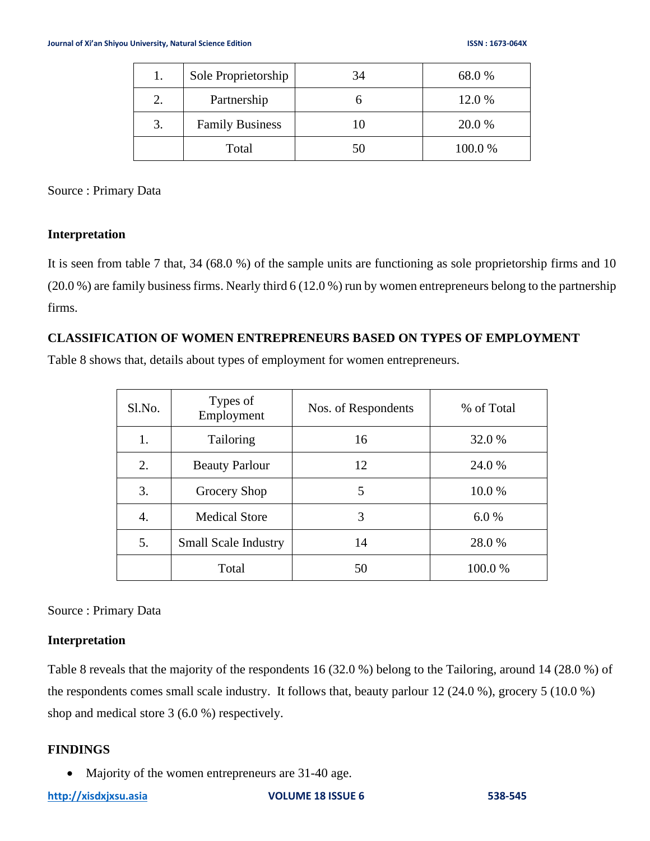| 1. | Sole Proprietorship    | 34 | 68.0%   |
|----|------------------------|----|---------|
| 2. | Partnership            |    | 12.0 %  |
| 3. | <b>Family Business</b> | 10 | 20.0 %  |
|    | Total                  | 50 | 100.0 % |

Source : Primary Data

## **Interpretation**

It is seen from table 7 that, 34 (68.0 %) of the sample units are functioning as sole proprietorship firms and 10 (20.0 %) are family business firms. Nearly third 6 (12.0 %) run by women entrepreneurs belong to the partnership firms.

## **CLASSIFICATION OF WOMEN ENTREPRENEURS BASED ON TYPES OF EMPLOYMENT**

Table 8 shows that, details about types of employment for women entrepreneurs.

| Sl.No. | Types of<br>Employment      | Nos. of Respondents | % of Total |
|--------|-----------------------------|---------------------|------------|
| 1.     | Tailoring                   | 16                  | 32.0 %     |
| 2.     | <b>Beauty Parlour</b>       | 12                  | 24.0 %     |
| 3.     | Grocery Shop                | 5                   | 10.0 %     |
| 4.     | <b>Medical Store</b>        | 3                   | 6.0%       |
| 5.     | <b>Small Scale Industry</b> | 14                  | 28.0 %     |
|        | Total                       | 50                  | 100.0 %    |

Source : Primary Data

## **Interpretation**

Table 8 reveals that the majority of the respondents 16 (32.0 %) belong to the Tailoring, around 14 (28.0 %) of the respondents comes small scale industry. It follows that, beauty parlour 12 (24.0 %), grocery 5 (10.0 %) shop and medical store 3 (6.0 %) respectively.

## **FINDINGS**

• Majority of the women entrepreneurs are 31-40 age.